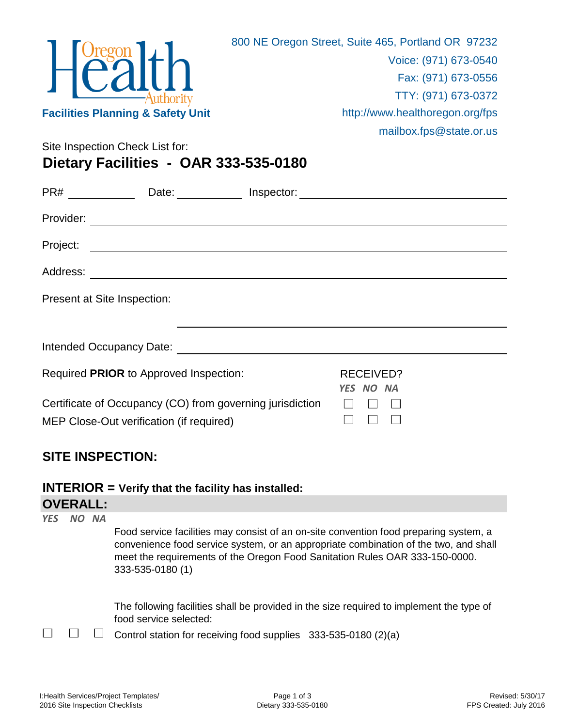

mailbox.fps@state.or.us

Site Inspection Check List for:

**Dietary Facilities - OAR 333-535-0180**

| PR#       | Date: the contract of the contract of the contract of the contract of the contract of the contract of the contract of the contract of the contract of the contract of the contract of the contract of the contract of the cont | Inspector: |                        |  |
|-----------|--------------------------------------------------------------------------------------------------------------------------------------------------------------------------------------------------------------------------------|------------|------------------------|--|
| Provider: |                                                                                                                                                                                                                                |            |                        |  |
| Project:  |                                                                                                                                                                                                                                |            |                        |  |
| Address:  | <u> 1980 - Andrea Andrew Maria (h. 1980).</u><br>1900 - Andrew Maria (h. 1900).                                                                                                                                                |            |                        |  |
|           | Present at Site Inspection:                                                                                                                                                                                                    |            |                        |  |
|           |                                                                                                                                                                                                                                |            |                        |  |
|           |                                                                                                                                                                                                                                |            |                        |  |
|           | Required PRIOR to Approved Inspection:                                                                                                                                                                                         |            | RECEIVED?<br>YES NO NA |  |
|           | Certificate of Occupancy (CO) from governing jurisdiction<br>MEP Close-Out verification (if required)                                                                                                                          |            |                        |  |

## **SITE INSPECTION:**

**OVERALL: INTERIOR = Verify that the facility has installed:**

|            | UVERALL. |                                                                                                                                                                                                                                                                                  |  |  |  |
|------------|----------|----------------------------------------------------------------------------------------------------------------------------------------------------------------------------------------------------------------------------------------------------------------------------------|--|--|--|
| <b>YFS</b> | NO NA    | Food service facilities may consist of an on-site convention food preparing system, a<br>convenience food service system, or an appropriate combination of the two, and shall<br>meet the requirements of the Oregon Food Sanitation Rules OAR 333-150-0000.<br>333-535-0180 (1) |  |  |  |
|            |          | The following facilities shall be provided in the size required to implement the type of<br>food service selected:<br>Control station for receiving food supplies 333-535-0180 (2)(a)                                                                                            |  |  |  |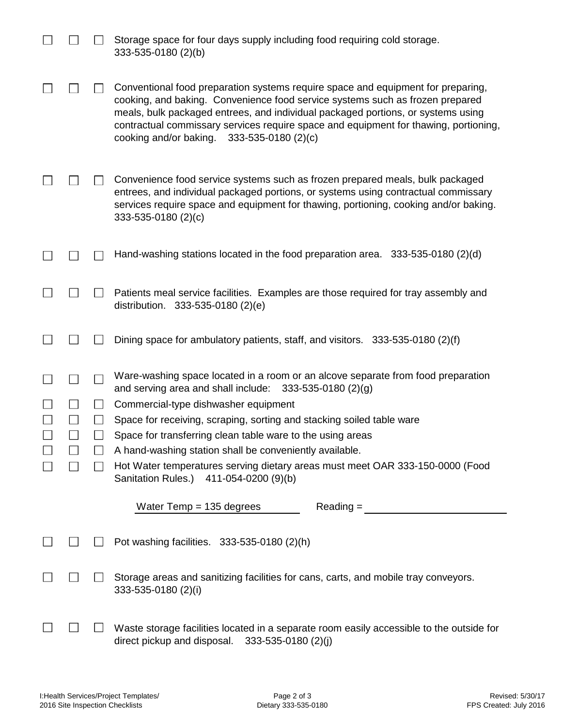|               | Storage space for four days supply including food requiring cold storage.<br>333-535-0180 (2)(b)                                                                                                                                                                                                                                                                                            |
|---------------|---------------------------------------------------------------------------------------------------------------------------------------------------------------------------------------------------------------------------------------------------------------------------------------------------------------------------------------------------------------------------------------------|
|               | Conventional food preparation systems require space and equipment for preparing,<br>cooking, and baking. Convenience food service systems such as frozen prepared<br>meals, bulk packaged entrees, and individual packaged portions, or systems using<br>contractual commissary services require space and equipment for thawing, portioning,<br>cooking and/or baking. 333-535-0180 (2)(c) |
|               | Convenience food service systems such as frozen prepared meals, bulk packaged<br>entrees, and individual packaged portions, or systems using contractual commissary<br>services require space and equipment for thawing, portioning, cooking and/or baking.<br>333-535-0180 (2)(c)                                                                                                          |
|               | Hand-washing stations located in the food preparation area. 333-535-0180 (2)(d)                                                                                                                                                                                                                                                                                                             |
|               | Patients meal service facilities. Examples are those required for tray assembly and<br>distribution. 333-535-0180 (2)(e)                                                                                                                                                                                                                                                                    |
|               | Dining space for ambulatory patients, staff, and visitors. $333-535-0180$ (2)(f)                                                                                                                                                                                                                                                                                                            |
| $\mathcal{L}$ | Ware-washing space located in a room or an alcove separate from food preparation<br>and serving area and shall include: $333-535-0180$ (2)(g)                                                                                                                                                                                                                                               |
|               | Commercial-type dishwasher equipment                                                                                                                                                                                                                                                                                                                                                        |
|               | Space for receiving, scraping, sorting and stacking soiled table ware                                                                                                                                                                                                                                                                                                                       |
|               | Space for transferring clean table ware to the using areas                                                                                                                                                                                                                                                                                                                                  |
|               | A hand-washing station shall be conveniently available.                                                                                                                                                                                                                                                                                                                                     |
|               | Hot Water temperatures serving dietary areas must meet OAR 333-150-0000 (Food<br>Sanitation Rules.)<br>411-054-0200 (9)(b)                                                                                                                                                                                                                                                                  |
|               | Water Temp $= 135$ degrees<br>$Reading =$                                                                                                                                                                                                                                                                                                                                                   |
|               | Pot washing facilities. 333-535-0180 (2)(h)                                                                                                                                                                                                                                                                                                                                                 |
|               | Storage areas and sanitizing facilities for cans, carts, and mobile tray conveyors.<br>333-535-0180 (2)(i)                                                                                                                                                                                                                                                                                  |
|               | Waste storage facilities located in a separate room easily accessible to the outside for<br>direct pickup and disposal.<br>333-535-0180 (2)(j)                                                                                                                                                                                                                                              |